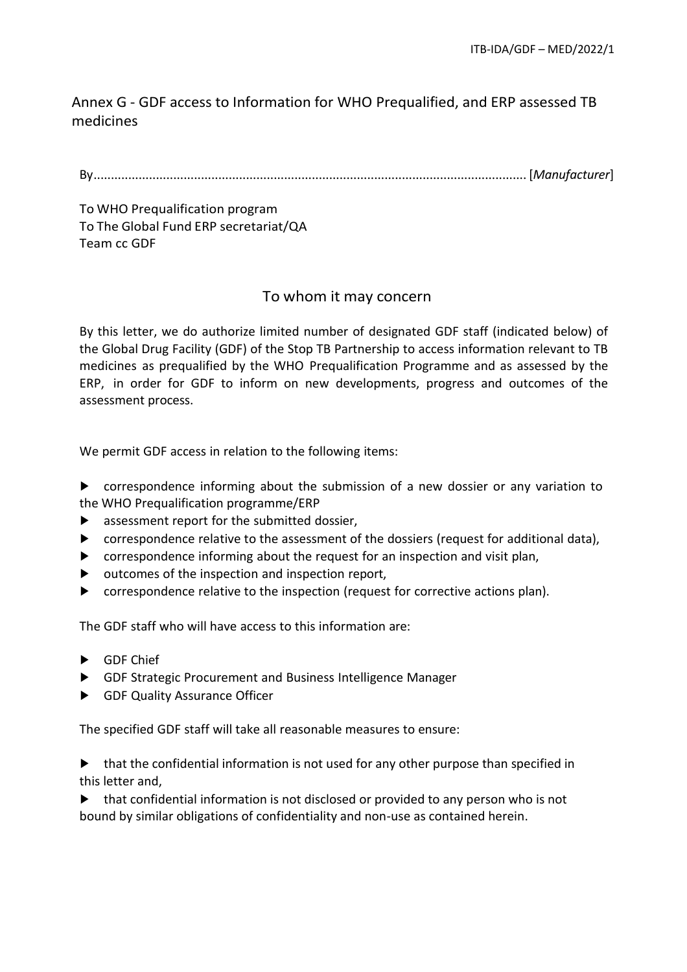## Annex G - GDF access to Information for WHO Prequalified, and ERP assessed TB medicines

By............................................................................................................................. [*Manufacturer*]

To WHO Prequalification program To The Global Fund ERP secretariat/QA Team cc GDF

## To whom it may concern

By this letter, we do authorize limited number of designated GDF staff (indicated below) of the Global Drug Facility (GDF) of the Stop TB Partnership to access information relevant to TB medicines as prequalified by the WHO Prequalification Programme and as assessed by the ERP, in order for GDF to inform on new developments, progress and outcomes of the assessment process.

We permit GDF access in relation to the following items:

► correspondence informing about the submission of a new dossier or any variation to the WHO Prequalification programme/ERP

- ► assessment report for the submitted dossier,
- ► correspondence relative to the assessment of the dossiers (request for additional data),
- ► correspondence informing about the request for an inspection and visit plan,
- ► outcomes of the inspection and inspection report,
- ► correspondence relative to the inspection (request for corrective actions plan).

The GDF staff who will have access to this information are:

- ► GDF Chief
- ► GDF Strategic Procurement and Business Intelligence Manager
- ► GDF Quality Assurance Officer

The specified GDF staff will take all reasonable measures to ensure:

► that the confidential information is not used for any other purpose than specified in this letter and,

► that confidential information is not disclosed or provided to any person who is not bound by similar obligations of confidentiality and non-use as contained herein.